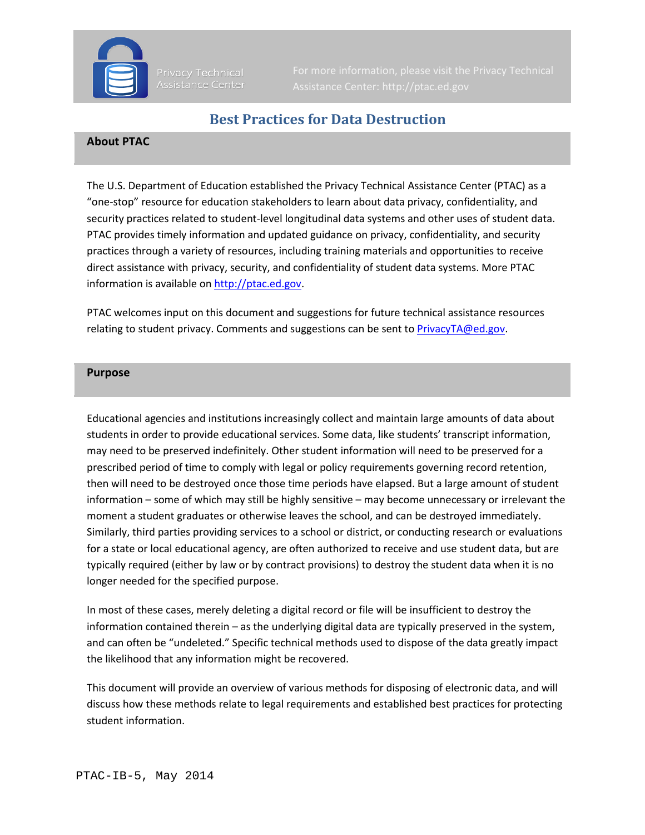

Privacy Technical Assistance Center

# **Best Practices for Data Destruction**

### **About PTAC**

The U.S. Department of Education established the Privacy Technical Assistance Center (PTAC) as a "one-stop" resource for education stakeholders to learn about data privacy, confidentiality, and security practices related to student-level longitudinal data systems and other uses of student data. PTAC provides timely information and updated guidance on privacy, confidentiality, and security practices through a variety of resources, including training materials and opportunities to receive direct assistance with privacy, security, and confidentiality of student data systems. More PTAC information is available o[n http://ptac.ed.gov.](http://ptac.ed.gov/)

PTAC welcomes input on this document and suggestions for future technical assistance resources relating to student privacy. Comments and suggestions can be sent to [PrivacyTA@ed.gov.](mailto:PrivacyTA@ed.gov)

#### **Purpose**

Educational agencies and institutions increasingly collect and maintain large amounts of data about students in order to provide educational services. Some data, like students' transcript information, may need to be preserved indefinitely. Other student information will need to be preserved for a prescribed period of time to comply with legal or policy requirements governing record retention, then will need to be destroyed once those time periods have elapsed. But a large amount of student information – some of which may still be highly sensitive – may become unnecessary or irrelevant the moment a student graduates or otherwise leaves the school, and can be destroyed immediately. Similarly, third parties providing services to a school or district, or conducting research or evaluations for a state or local educational agency, are often authorized to receive and use student data, but are typically required (either by law or by contract provisions) to destroy the student data when it is no longer needed for the specified purpose.

In most of these cases, merely deleting a digital record or file will be insufficient to destroy the information contained therein – as the underlying digital data are typically preserved in the system, and can often be "undeleted." Specific technical methods used to dispose of the data greatly impact the likelihood that any information might be recovered.

This document will provide an overview of various methods for disposing of electronic data, and will discuss how these methods relate to legal requirements and established best practices for protecting student information.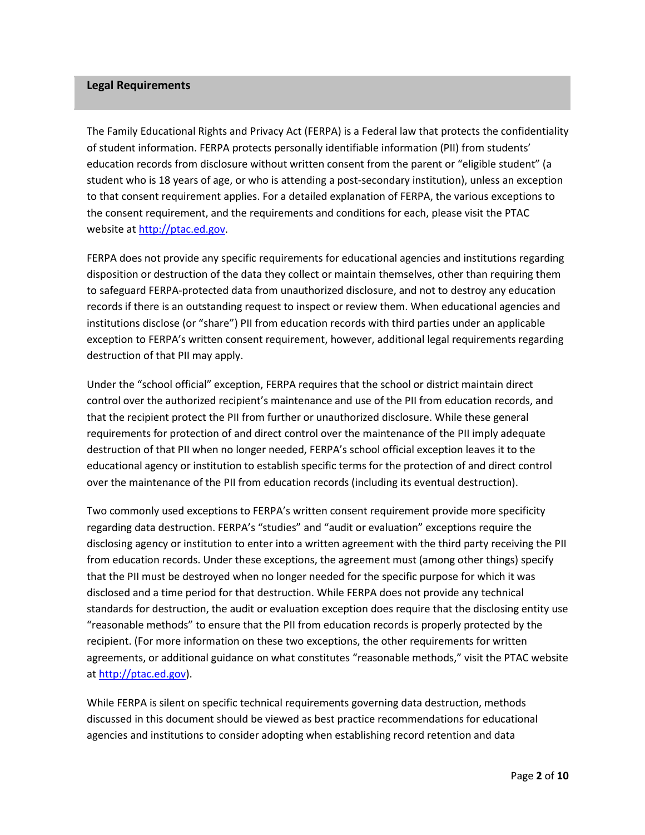#### **Legal Requirements**

The Family Educational Rights and Privacy Act (FERPA) is a Federal law that protects the confidentiality of student information. FERPA protects personally identifiable information (PII) from students' education records from disclosure without written consent from the parent or "eligible student" (a student who is 18 years of age, or who is attending a post-secondary institution), unless an exception to that consent requirement applies. For a detailed explanation of FERPA, the various exceptions to the consent requirement, and the requirements and conditions for each, please visit the PTAC website at [http://ptac.ed.gov.](http://ptac.ed.gov/) 

FERPA does not provide any specific requirements for educational agencies and institutions regarding disposition or destruction of the data they collect or maintain themselves, other than requiring them to safeguard FERPA-protected data from unauthorized disclosure, and not to destroy any education records if there is an outstanding request to inspect or review them. When educational agencies and institutions disclose (or "share") PII from education records with third parties under an applicable exception to FERPA's written consent requirement, however, additional legal requirements regarding destruction of that PII may apply.

Under the "school official" exception, FERPA requires that the school or district maintain direct control over the authorized recipient's maintenance and use of the PII from education records, and that the recipient protect the PII from further or unauthorized disclosure. While these general requirements for protection of and direct control over the maintenance of the PII imply adequate destruction of that PII when no longer needed, FERPA's school official exception leaves it to the educational agency or institution to establish specific terms for the protection of and direct control over the maintenance of the PII from education records (including its eventual destruction).

Two commonly used exceptions to FERPA's written consent requirement provide more specificity regarding data destruction. FERPA's "studies" and "audit or evaluation" exceptions require the disclosing agency or institution to enter into a written agreement with the third party receiving the PII from education records. Under these exceptions, the agreement must (among other things) specify that the PII must be destroyed when no longer needed for the specific purpose for which it was disclosed and a time period for that destruction. While FERPA does not provide any technical standards for destruction, the audit or evaluation exception does require that the disclosing entity use "reasonable methods" to ensure that the PII from education records is properly protected by the recipient. (For more information on these two exceptions, the other requirements for written agreements, or additional guidance on what constitutes "reasonable methods," visit the PTAC website at [http://ptac.ed.gov\)](http://ptac.ed.gov/).

While FERPA is silent on specific technical requirements governing data destruction, methods discussed in this document should be viewed as best practice recommendations for educational agencies and institutions to consider adopting when establishing record retention and data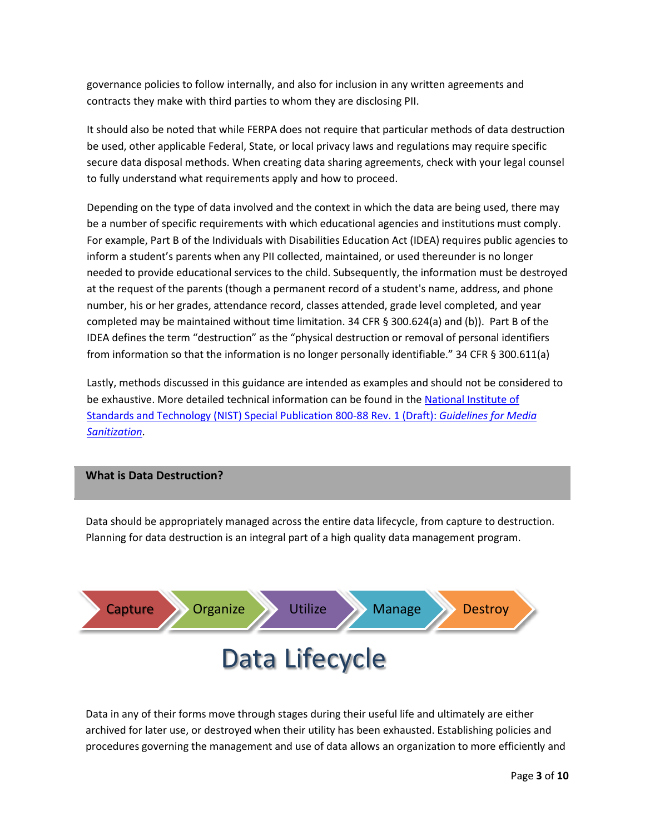governance policies to follow internally, and also for inclusion in any written agreements and contracts they make with third parties to whom they are disclosing PII.

It should also be noted that while FERPA does not require that particular methods of data destruction be used, other applicable Federal, State, or local privacy laws and regulations may require specific secure data disposal methods. When creating data sharing agreements, check with your legal counsel to fully understand what requirements apply and how to proceed.

Depending on the type of data involved and the context in which the data are being used, there may be a number of specific requirements with which educational agencies and institutions must comply. For example, Part B of the Individuals with Disabilities Education Act (IDEA) requires public agencies to inform a student's parents when any PII collected, maintained, or used thereunder is no longer needed to provide educational services to the child. Subsequently, the information must be destroyed at the request of the parents (though a permanent record of a student's name, address, and phone number, his or her grades, attendance record, classes attended, grade level completed, and year completed may be maintained without time limitation. 34 CFR § 300.624(a) and (b)). Part B of the IDEA defines the term "destruction" as the "physical destruction or removal of personal identifiers from information so that the information is no longer personally identifiable." 34 CFR § 300.611(a)

Lastly, methods discussed in this guidance are intended as examples and should not be considered to be exhaustive. More detailed technical information can be found in the National Institute of [Standards and Technology \(NIST\) Special Publication 800-88](http://csrc.nist.gov/publications/drafts/800-88-rev1/sp800_88_r1_draft.pdf) Rev. 1 (Draft): *Guidelines for Media [Sanitization](http://csrc.nist.gov/publications/drafts/800-88-rev1/sp800_88_r1_draft.pdf)*.

#### **What is Data Destruction?**

Data should be appropriately managed across the entire data lifecycle, from capture to destruction. Planning for data destruction is an integral part of a high quality data management program.



Data in any of their forms move through stages during their useful life and ultimately are either archived for later use, or destroyed when their utility has been exhausted. Establishing policies and procedures governing the management and use of data allows an organization to more efficiently and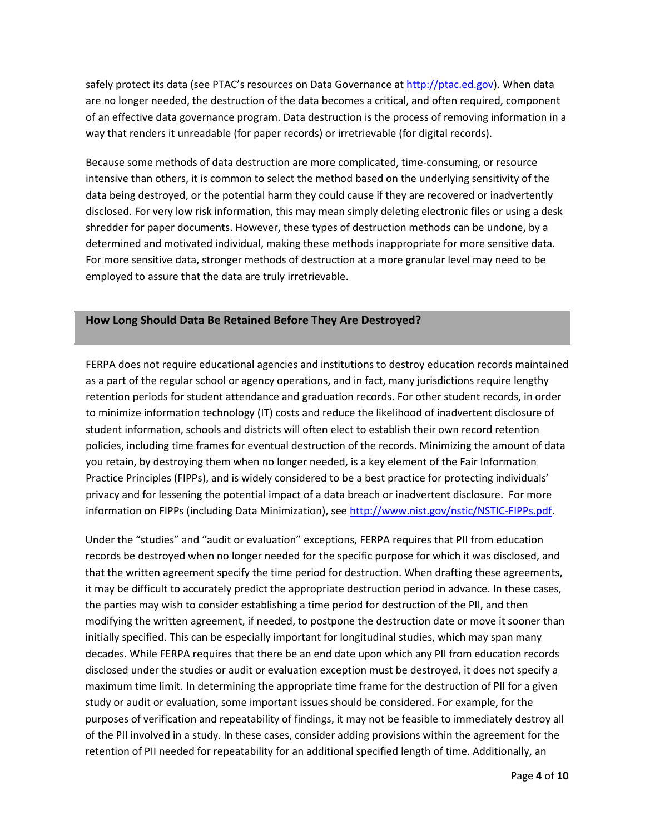safely protect its data (see PTAC's resources on Data Governance at [http://ptac.ed.gov\)](http://ptac.ed.gov/). When data are no longer needed, the destruction of the data becomes a critical, and often required, component of an effective data governance program. Data destruction is the process of removing information in a way that renders it unreadable (for paper records) or irretrievable (for digital records).

Because some methods of data destruction are more complicated, time-consuming, or resource intensive than others, it is common to select the method based on the underlying sensitivity of the data being destroyed, or the potential harm they could cause if they are recovered or inadvertently disclosed. For very low risk information, this may mean simply deleting electronic files or using a desk shredder for paper documents. However, these types of destruction methods can be undone, by a determined and motivated individual, making these methods inappropriate for more sensitive data. For more sensitive data, stronger methods of destruction at a more granular level may need to be employed to assure that the data are truly irretrievable.

#### **How Long Should Data Be Retained Before They Are Destroyed?**

FERPA does not require educational agencies and institutions to destroy education records maintained as a part of the regular school or agency operations, and in fact, many jurisdictions require lengthy retention periods for student attendance and graduation records. For other student records, in order to minimize information technology (IT) costs and reduce the likelihood of inadvertent disclosure of student information, schools and districts will often elect to establish their own record retention policies, including time frames for eventual destruction of the records. Minimizing the amount of data you retain, by destroying them when no longer needed, is a key element of the Fair Information Practice Principles (FIPPs), and is widely considered to be a best practice for protecting individuals' privacy and for lessening the potential impact of a data breach or inadvertent disclosure. For more information on FIPPs (including Data Minimization), see [http://www.nist.gov/nstic/NSTIC-FIPPs.pdf.](http://www.nist.gov/nstic/NSTIC-FIPPs.pdf)

Under the "studies" and "audit or evaluation" exceptions, FERPA requires that PII from education records be destroyed when no longer needed for the specific purpose for which it was disclosed, and that the written agreement specify the time period for destruction. When drafting these agreements, it may be difficult to accurately predict the appropriate destruction period in advance. In these cases, the parties may wish to consider establishing a time period for destruction of the PII, and then modifying the written agreement, if needed, to postpone the destruction date or move it sooner than initially specified. This can be especially important for longitudinal studies, which may span many decades. While FERPA requires that there be an end date upon which any PII from education records disclosed under the studies or audit or evaluation exception must be destroyed, it does not specify a maximum time limit. In determining the appropriate time frame for the destruction of PII for a given study or audit or evaluation, some important issues should be considered. For example, for the purposes of verification and repeatability of findings, it may not be feasible to immediately destroy all of the PII involved in a study. In these cases, consider adding provisions within the agreement for the retention of PII needed for repeatability for an additional specified length of time. Additionally, an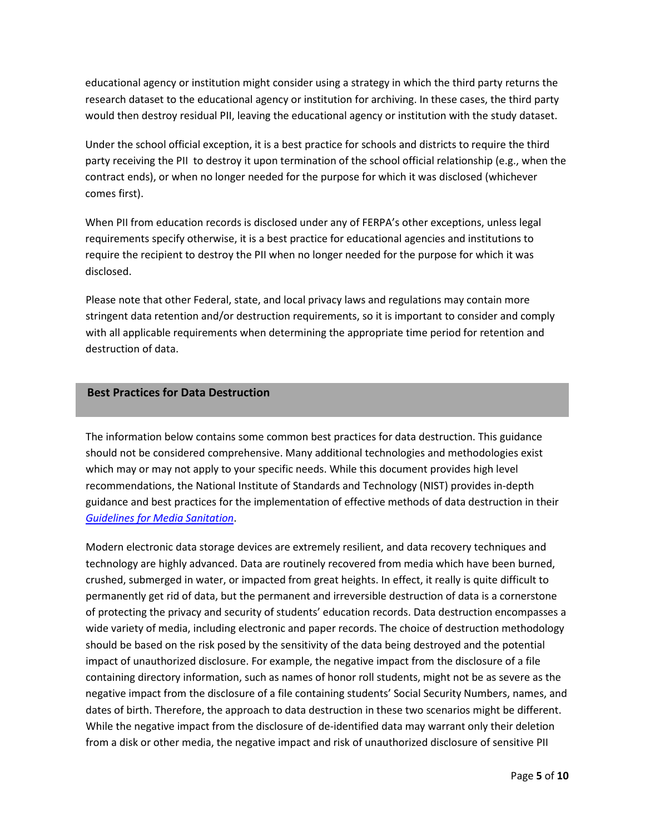educational agency or institution might consider using a strategy in which the third party returns the research dataset to the educational agency or institution for archiving. In these cases, the third party would then destroy residual PII, leaving the educational agency or institution with the study dataset.

Under the school official exception, it is a best practice for schools and districts to require the third party receiving the PII to destroy it upon termination of the school official relationship (e.g., when the contract ends), or when no longer needed for the purpose for which it was disclosed (whichever comes first).

When PII from education records is disclosed under any of FERPA's other exceptions, unless legal requirements specify otherwise, it is a best practice for educational agencies and institutions to require the recipient to destroy the PII when no longer needed for the purpose for which it was disclosed.

Please note that other Federal, state, and local privacy laws and regulations may contain more stringent data retention and/or destruction requirements, so it is important to consider and comply with all applicable requirements when determining the appropriate time period for retention and destruction of data.

## **Best Practices for Data Destruction**

The information below contains some common best practices for data destruction. This guidance should not be considered comprehensive. Many additional technologies and methodologies exist which may or may not apply to your specific needs. While this document provides high level recommendations, the National Institute of Standards and Technology (NIST) provides in-depth guidance and best practices for the implementation of effective methods of data destruction in their *[Guidelines for Media Sanitation](http://csrc.nist.gov/publications/drafts/800-88-rev1/sp800_88_r1_draft.pdf)*.

Modern electronic data storage devices are extremely resilient, and data recovery techniques and technology are highly advanced. Data are routinely recovered from media which have been burned, crushed, submerged in water, or impacted from great heights. In effect, it really is quite difficult to permanently get rid of data, but the permanent and irreversible destruction of data is a cornerstone of protecting the privacy and security of students' education records. Data destruction encompasses a wide variety of media, including electronic and paper records. The choice of destruction methodology should be based on the risk posed by the sensitivity of the data being destroyed and the potential impact of unauthorized disclosure. For example, the negative impact from the disclosure of a file containing directory information, such as names of honor roll students, might not be as severe as the negative impact from the disclosure of a file containing students' Social Security Numbers, names, and dates of birth. Therefore, the approach to data destruction in these two scenarios might be different. While the negative impact from the disclosure of de-identified data may warrant only their deletion from a disk or other media, the negative impact and risk of unauthorized disclosure of sensitive PII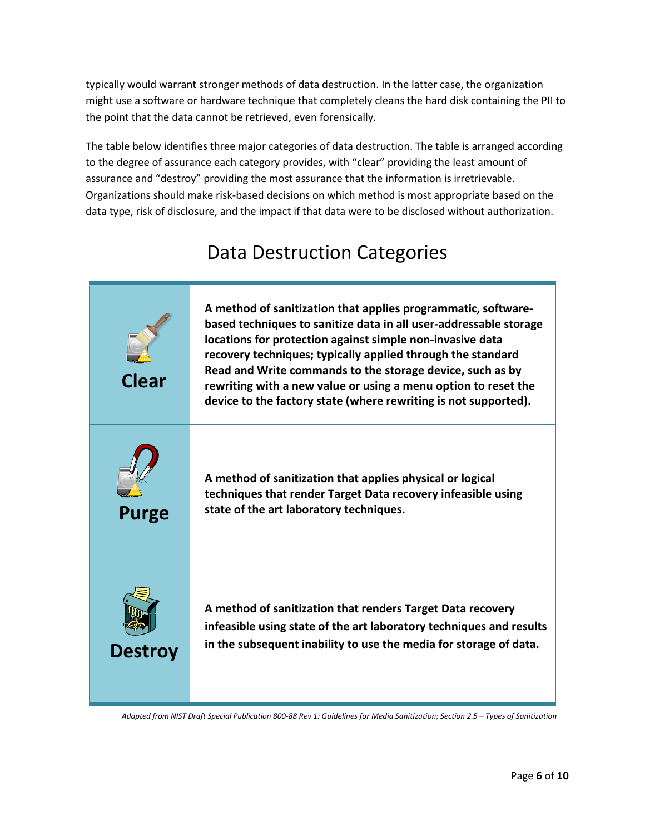typically would warrant stronger methods of data destruction. In the latter case, the organization might use a software or hardware technique that completely cleans the hard disk containing the PII to the point that the data cannot be retrieved, even forensically.

The table below identifies three major categories of data destruction. The table is arranged according to the degree of assurance each category provides, with "clear" providing the least amount of assurance and "destroy" providing the most assurance that the information is irretrievable. Organizations should make risk-based decisions on which method is most appropriate based on the data type, risk of disclosure, and the impact if that data were to be disclosed without authorization.

# Data Destruction Categories

| <b>Clear</b>   | A method of sanitization that applies programmatic, software-<br>based techniques to sanitize data in all user-addressable storage<br>locations for protection against simple non-invasive data<br>recovery techniques; typically applied through the standard<br>Read and Write commands to the storage device, such as by<br>rewriting with a new value or using a menu option to reset the<br>device to the factory state (where rewriting is not supported). |
|----------------|------------------------------------------------------------------------------------------------------------------------------------------------------------------------------------------------------------------------------------------------------------------------------------------------------------------------------------------------------------------------------------------------------------------------------------------------------------------|
| <b>Purge</b>   | A method of sanitization that applies physical or logical<br>techniques that render Target Data recovery infeasible using<br>state of the art laboratory techniques.                                                                                                                                                                                                                                                                                             |
| <b>Destroy</b> | A method of sanitization that renders Target Data recovery<br>infeasible using state of the art laboratory techniques and results<br>in the subsequent inability to use the media for storage of data.                                                                                                                                                                                                                                                           |

*Adapted from NIST Draft Special Publication 800-88 Rev 1: Guidelines for Media Sanitization; Section 2.5 – Types of Sanitization*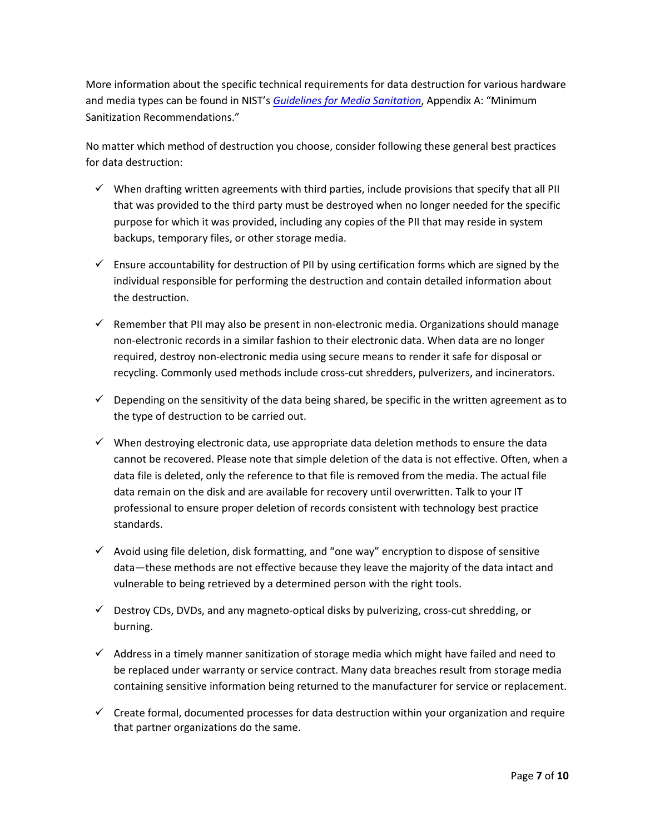More information about the specific technical requirements for data destruction for various hardware and media types can be found in NIST's *[Guidelines for Media Sanitation](http://csrc.nist.gov/publications/drafts/800-88-rev1/sp800_88_r1_draft.pdf)*, Appendix A: "Minimum Sanitization Recommendations."

No matter which method of destruction you choose, consider following these general best practices for data destruction:

- $\checkmark$  When drafting written agreements with third parties, include provisions that specify that all PII that was provided to the third party must be destroyed when no longer needed for the specific purpose for which it was provided, including any copies of the PII that may reside in system backups, temporary files, or other storage media.
- $\checkmark$  Ensure accountability for destruction of PII by using certification forms which are signed by the individual responsible for performing the destruction and contain detailed information about the destruction.
- $\checkmark$  Remember that PII may also be present in non-electronic media. Organizations should manage non-electronic records in a similar fashion to their electronic data. When data are no longer required, destroy non-electronic media using secure means to render it safe for disposal or recycling. Commonly used methods include cross-cut shredders, pulverizers, and incinerators.
- $\checkmark$  Depending on the sensitivity of the data being shared, be specific in the written agreement as to the type of destruction to be carried out.
- $\checkmark$  When destroying electronic data, use appropriate data deletion methods to ensure the data cannot be recovered. Please note that simple deletion of the data is not effective. Often, when a data file is deleted, only the reference to that file is removed from the media. The actual file data remain on the disk and are available for recovery until overwritten. Talk to your IT professional to ensure proper deletion of records consistent with technology best practice standards.
- $\checkmark$  Avoid using file deletion, disk formatting, and "one way" encryption to dispose of sensitive data—these methods are not effective because they leave the majority of the data intact and vulnerable to being retrieved by a determined person with the right tools.
- $\checkmark$  Destroy CDs, DVDs, and any magneto-optical disks by pulverizing, cross-cut shredding, or burning.
- $\checkmark$  Address in a timely manner sanitization of storage media which might have failed and need to be replaced under warranty or service contract. Many data breaches result from storage media containing sensitive information being returned to the manufacturer for service or replacement.
- $\checkmark$  Create formal, documented processes for data destruction within your organization and require that partner organizations do the same.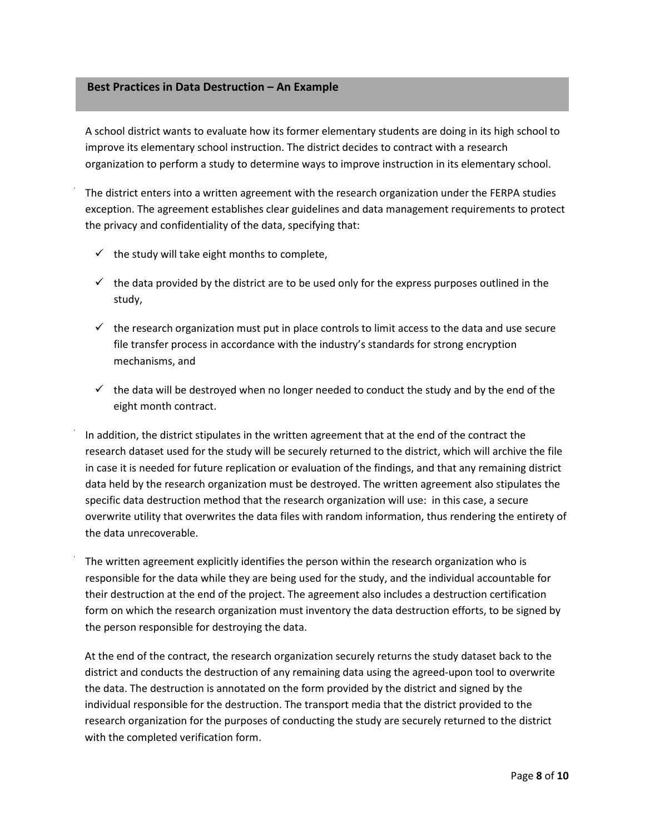#### **Best Practices in Data Destruction – An Example**

A school district wants to evaluate how its former elementary students are doing in its high school to improve its elementary school instruction. The district decides to contract with a research organization to perform a study to determine ways to improve instruction in its elementary school.

 The district enters into a written agreement with the research organization under the FERPA studies exception. The agreement establishes clear guidelines and data management requirements to protect the privacy and confidentiality of the data, specifying that:

- $\checkmark$  the study will take eight months to complete,
- $\checkmark$  the data provided by the district are to be used only for the express purposes outlined in the study,
- $\checkmark$  the research organization must put in place controls to limit access to the data and use secure file transfer process in accordance with the industry's standards for strong encryption mechanisms, and
- $\checkmark$  the data will be destroyed when no longer needed to conduct the study and by the end of the eight month contract.

 In addition, the district stipulates in the written agreement that at the end of the contract the research dataset used for the study will be securely returned to the district, which will archive the file in case it is needed for future replication or evaluation of the findings, and that any remaining district data held by the research organization must be destroyed. The written agreement also stipulates the specific data destruction method that the research organization will use: in this case, a secure overwrite utility that overwrites the data files with random information, thus rendering the entirety of the data unrecoverable.

 The written agreement explicitly identifies the person within the research organization who is responsible for the data while they are being used for the study, and the individual accountable for their destruction at the end of the project. The agreement also includes a destruction certification form on which the research organization must inventory the data destruction efforts, to be signed by the person responsible for destroying the data.

At the end of the contract, the research organization securely returns the study dataset back to the district and conducts the destruction of any remaining data using the agreed-upon tool to overwrite the data. The destruction is annotated on the form provided by the district and signed by the individual responsible for the destruction. The transport media that the district provided to the research organization for the purposes of conducting the study are securely returned to the district with the completed verification form.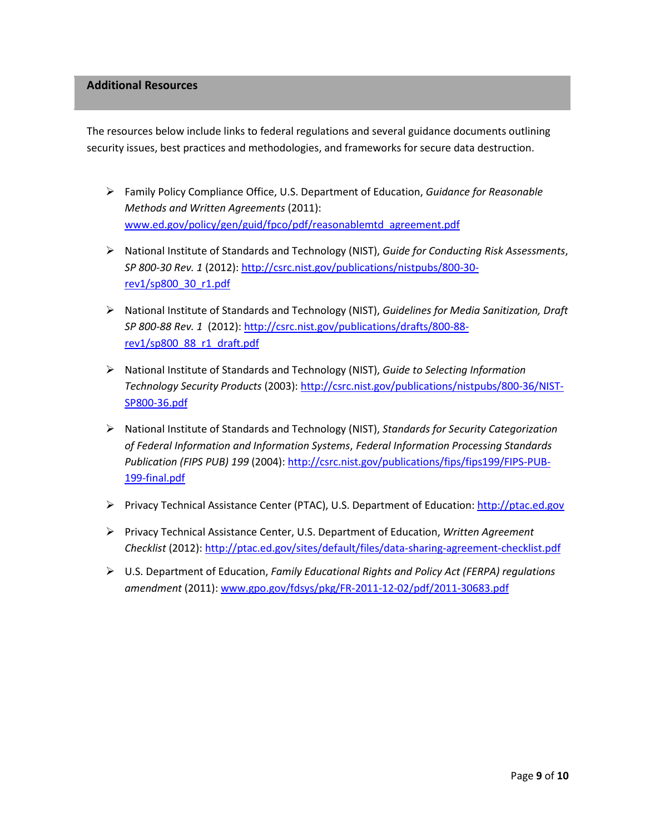### **Additional Resources**

 The resources below include links to federal regulations and several guidance documents outlining security issues, best practices and methodologies, and frameworks for secure data destruction.

- Family Policy Compliance Office, U.S. Department of Education, *Guidance for Reasonable Methods and Written Agreements* (2011): [www.ed.gov/policy/gen/guid/fpco/pdf/reasonablemtd\\_agreement.pdf](http://www.ed.gov/policy/gen/guid/fpco/pdf/reasonablemtd_agreement.pdf)
- National Institute of Standards and Technology (NIST), *Guide for Conducting Risk Assessments*, *SP 800-30 Rev. 1* (2012): [http://csrc.nist.gov/publications/nistpubs/800-30](http://csrc.nist.gov/publications/nistpubs/800-30-rev1/sp800_30_r1.pdf) [rev1/sp800\\_30\\_r1.pdf](http://csrc.nist.gov/publications/nistpubs/800-30-rev1/sp800_30_r1.pdf)
- National Institute of Standards and Technology (NIST), *Guidelines for Media Sanitization, Draft SP 800-88 Rev. 1* (2012)[: http://csrc.nist.gov/publications/drafts/800-88](http://csrc.nist.gov/publications/drafts/800-88-rev1/sp800_88_r1_draft.pdf) [rev1/sp800\\_88\\_r1\\_draft.pdf](http://csrc.nist.gov/publications/drafts/800-88-rev1/sp800_88_r1_draft.pdf)
- National Institute of Standards and Technology (NIST), *Guide to Selecting Information Technology Security Products* (2003)[: http://csrc.nist.gov/publications/nistpubs/800-36/NIST-](http://csrc.nist.gov/publications/nistpubs/800-36/NIST-SP800-36.pdf)[SP800-36.pdf](http://csrc.nist.gov/publications/nistpubs/800-36/NIST-SP800-36.pdf)
- National Institute of Standards and Technology (NIST), *Standards for Security Categorization of Federal Information and Information Systems*, *Federal Information Processing Standards Publication (FIPS PUB) 199* (2004): [http://csrc.nist.gov/publications/fips/fips199/FIPS-PUB-](http://csrc.nist.gov/publications/fips/fips199/FIPS-PUB-199-final.pdf)[199-final.pdf](http://csrc.nist.gov/publications/fips/fips199/FIPS-PUB-199-final.pdf)
- Privacy Technical Assistance Center (PTAC), U.S. Department of Education: [http://ptac.ed.gov](http://ptac.ed.gov/)
- Privacy Technical Assistance Center, U.S. Department of Education, *Written Agreement Checklist* (2012)[: http://ptac.ed.gov/sites/default/files/data-sharing-agreement-checklist.pdf](http://ptac.ed.gov/sites/default/files/data-sharing-agreement-checklist.pdf)
- U.S. Department of Education, *Family Educational Rights and Policy Act (FERPA) regulations amendment* (2011)[: www.gpo.gov/fdsys/pkg/FR-2011-12-02/pdf/2011-30683.pdf](http://www.gpo.gov/fdsys/pkg/FR-2011-12-02/pdf/2011-30683.pdf)